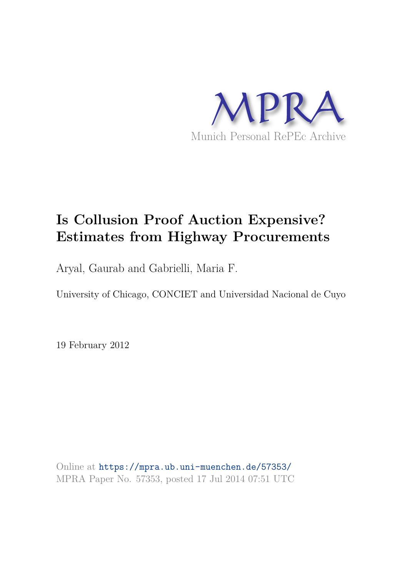

# **Is Collusion Proof Auction Expensive? Estimates from Highway Procurements**

Aryal, Gaurab and Gabrielli, Maria F.

University of Chicago, CONCIET and Universidad Nacional de Cuyo

19 February 2012

Online at https://mpra.ub.uni-muenchen.de/57353/ MPRA Paper No. 57353, posted 17 Jul 2014 07:51 UTC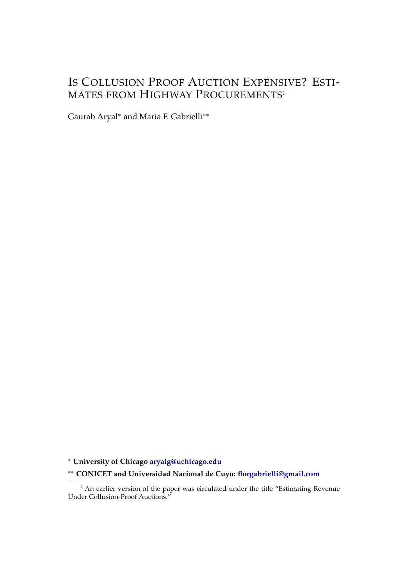## IS COLLUSION PROOF AUCTION EXPENSIVE? ESTI-MATES FROM HIGHWAY PROCUREMENTS<sup>1</sup>

Gaurab Aryal∗ and Maria F. Gabrielli∗∗

∗ **University of Chicago aryalg@uchicago.edu**

∗∗ **CONICET and Universidad Nacional de Cuyo: florgabrielli@gmail.com**

 $<sup>1</sup>$  An earlier version of the paper was circulated under the title "Estimating Revenue</sup> Under Collusion-Proof Auctions."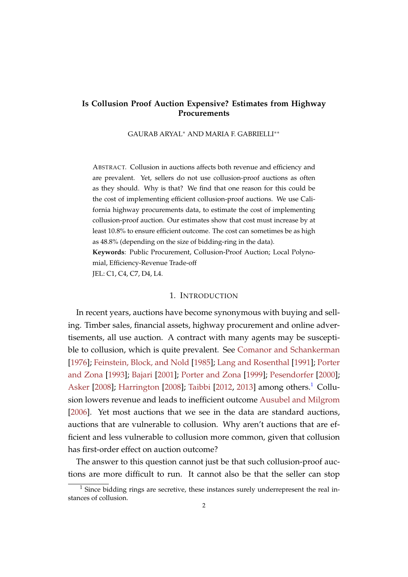#### **Is Collusion Proof Auction Expensive? Estimates from Highway Procurements**

GAURAB ARYAL∗ AND MARIA F. GABRIELLI∗∗

ABSTRACT. Collusion in auctions affects both revenue and efficiency and are prevalent. Yet, sellers do not use collusion-proof auctions as often as they should. Why is that? We find that one reason for this could be the cost of implementing efficient collusion-proof auctions. We use California highway procurements data, to estimate the cost of implementing collusion-proof auction. Our estimates show that cost must increase by at least 10.8% to ensure efficient outcome. The cost can sometimes be as high as 48.8% (depending on the size of bidding-ring in the data). **Keywords**: Public Procurement, Collusion-Proof Auction; Local Polynomial, Efficiency-Revenue Trade-off

JEL: C1, C4, C7, D4, L4.

#### 1. INTRODUCTION

In recent years, auctions have become synonymous with buying and selling. Timber sales, financial assets, highway procurement and online advertisements, all use auction. A contract with many agents may be susceptible to collusion, which is quite prevalent. See Comanor and Schankerman [1976]; Feinstein, Block, and Nold [1985]; Lang and Rosenthal [1991]; Porter and Zona [1993]; Bajari [2001]; Porter and Zona [1999]; Pesendorfer [2000]; Asker [2008]; Harrington [2008]; Taibbi [2012, 2013] among others.<sup>1</sup> Collusion lowers revenue and leads to inefficient outcome Ausubel and Milgrom [2006]. Yet most auctions that we see in the data are standard auctions, auctions that are vulnerable to collusion. Why aren't auctions that are efficient and less vulnerable to collusion more common, given that collusion has first-order effect on auction outcome?

The answer to this question cannot just be that such collusion-proof auctions are more difficult to run. It cannot also be that the seller can stop

 $<sup>1</sup>$  Since bidding rings are secretive, these instances surely underrepresent the real in-</sup> stances of collusion.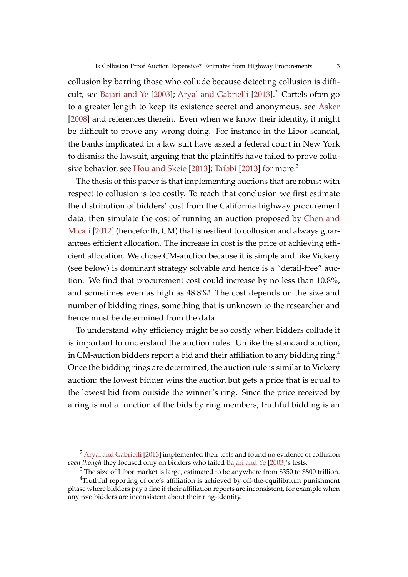collusion by barring those who collude because detecting collusion is difficult, see Bajari and Ye [2003]; Aryal and Gabrielli [2013].<sup>2</sup> Cartels often go to a greater length to keep its existence secret and anonymous, see Asker [2008] and references therein. Even when we know their identity, it might be difficult to prove any wrong doing. For instance in the Libor scandal, the banks implicated in a law suit have asked a federal court in New York to dismiss the lawsuit, arguing that the plaintiffs have failed to prove collusive behavior, see Hou and Skeie [2013]; Taibbi [2013] for more.<sup>3</sup>

The thesis of this paper is that implementing auctions that are robust with respect to collusion is too costly. To reach that conclusion we first estimate the distribution of bidders' cost from the California highway procurement data, then simulate the cost of running an auction proposed by Chen and Micali [2012] (henceforth, CM) that is resilient to collusion and always guarantees efficient allocation. The increase in cost is the price of achieving efficient allocation. We chose CM-auction because it is simple and like Vickery (see below) is dominant strategy solvable and hence is a "detail-free" auction. We find that procurement cost could increase by no less than 10.8%, and sometimes even as high as 48.8%! The cost depends on the size and number of bidding rings, something that is unknown to the researcher and hence must be determined from the data.

To understand why efficiency might be so costly when bidders collude it is important to understand the auction rules. Unlike the standard auction, in CM-auction bidders report a bid and their affiliation to any bidding ring. $4$ Once the bidding rings are determined, the auction rule is similar to Vickery auction: the lowest bidder wins the auction but gets a price that is equal to the lowest bid from outside the winner's ring. Since the price received by a ring is not a function of the bids by ring members, truthful bidding is an

<sup>&</sup>lt;sup>2</sup> Aryal and Gabrielli [2013] implemented their tests and found no evidence of collusion *even though* they focused only on bidders who failed Bajari and Ye [2003]'s tests.

 $3$  The size of Libor market is large, estimated to be anywhere from \$350 to \$800 trillion.

<sup>&</sup>lt;sup>4</sup>Truthful reporting of one's affiliation is achieved by off-the-equilibrium punishment phase where bidders pay a fine if their affiliation reports are inconsistent, for example when any two bidders are inconsistent about their ring-identity.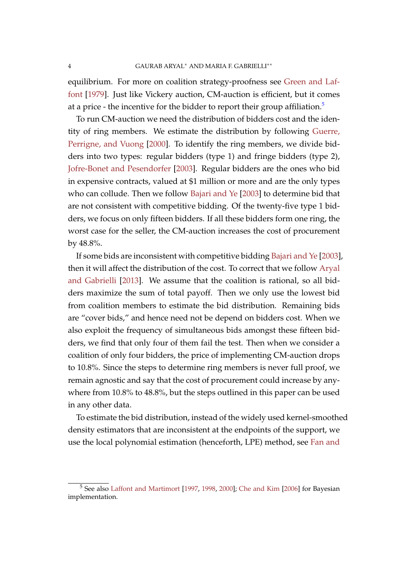equilibrium. For more on coalition strategy-proofness see Green and Laffont [1979]. Just like Vickery auction, CM-auction is efficient, but it comes at a price - the incentive for the bidder to report their group affiliation.<sup>5</sup>

To run CM-auction we need the distribution of bidders cost and the identity of ring members. We estimate the distribution by following Guerre, Perrigne, and Vuong [2000]. To identify the ring members, we divide bidders into two types: regular bidders (type 1) and fringe bidders (type 2), Jofre-Bonet and Pesendorfer [2003]. Regular bidders are the ones who bid in expensive contracts, valued at \$1 million or more and are the only types who can collude. Then we follow Bajari and Ye [2003] to determine bid that are not consistent with competitive bidding. Of the twenty-five type 1 bidders, we focus on only fifteen bidders. If all these bidders form one ring, the worst case for the seller, the CM-auction increases the cost of procurement by 48.8%.

If some bids are inconsistent with competitive bidding Bajari and Ye [2003], then it will affect the distribution of the cost. To correct that we follow Aryal and Gabrielli [2013]. We assume that the coalition is rational, so all bidders maximize the sum of total payoff. Then we only use the lowest bid from coalition members to estimate the bid distribution. Remaining bids are "cover bids," and hence need not be depend on bidders cost. When we also exploit the frequency of simultaneous bids amongst these fifteen bidders, we find that only four of them fail the test. Then when we consider a coalition of only four bidders, the price of implementing CM-auction drops to 10.8%. Since the steps to determine ring members is never full proof, we remain agnostic and say that the cost of procurement could increase by anywhere from 10.8% to 48.8%, but the steps outlined in this paper can be used in any other data.

To estimate the bid distribution, instead of the widely used kernel-smoothed density estimators that are inconsistent at the endpoints of the support, we use the local polynomial estimation (henceforth, LPE) method, see Fan and

<sup>&</sup>lt;sup>5</sup> See also Laffont and Martimort [1997, 1998, 2000]; Che and Kim [2006] for Bayesian implementation.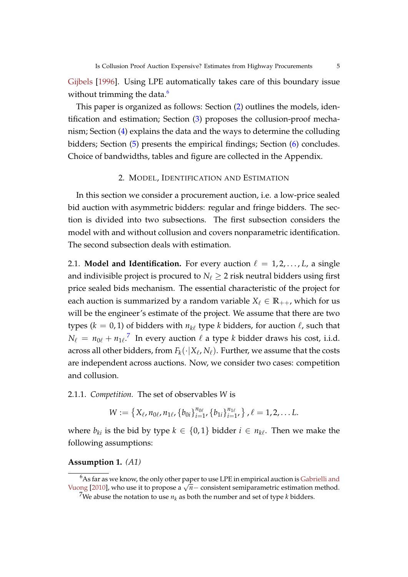Gijbels [1996]. Using LPE automatically takes care of this boundary issue without trimming the data.<sup>6</sup>

This paper is organized as follows: Section (2) outlines the models, identification and estimation; Section (3) proposes the collusion-proof mechanism; Section (4) explains the data and the ways to determine the colluding bidders; Section (5) presents the empirical findings; Section (6) concludes. Choice of bandwidths, tables and figure are collected in the Appendix.

#### 2. MODEL, IDENTIFICATION AND ESTIMATION

In this section we consider a procurement auction, i.e. a low-price sealed bid auction with asymmetric bidders: regular and fringe bidders. The section is divided into two subsections. The first subsection considers the model with and without collusion and covers nonparametric identification. The second subsection deals with estimation.

2.1. **Model and Identification.** For every auction  $\ell = 1, 2, \ldots, L$ , a single and indivisible project is procured to  $N_\ell \geq 2$  risk neutral bidders using first price sealed bids mechanism. The essential characteristic of the project for each auction is summarized by a random variable  $X_\ell \in \mathbb{R}_{++}$ , which for us will be the engineer's estimate of the project. We assume that there are two types ( $k = 0, 1$ ) of bidders with  $n_{k\ell}$  type  $k$  bidders, for auction  $\ell$ , such that  $N_\ell \, = \, n_{0\ell} + {n_{1\ell}}^7$  In every auction  $\ell$  a type  $k$  bidder draws his cost, i.i.d. across all other bidders, from  $F_k(\cdot|X_\ell, N_\ell)$ . Further, we assume that the costs are independent across auctions. Now, we consider two cases: competition and collusion.

2.1.1. *Competition.* The set of observables *W* is

$$
W:=\left\{X_{\ell}, n_{0\ell}, n_{1\ell}, \left\{b_{0i}\right\}_{i=1}^{n_{0\ell}}, \left\{b_{1i}\right\}_{i=1}^{n_{1\ell}}\right\}, \ell=1, 2, \ldots L.
$$

where  $b_{ki}$  is the bid by type  $k \in \{0,1\}$  bidder  $i \in n_{k\ell}$ . Then we make the following assumptions:

#### **Assumption 1.** *(A1)*

 $6As$  far as we know, the only other paper to use LPE in empirical auction is Gabrielli and Vuong [2010], who use it to propose a  $\sqrt{n}$  – consistent semiparametric estimation method.

<sup>&</sup>lt;sup>7</sup>We abuse the notation to use  $n_k$  as both the number and set of type *k* bidders.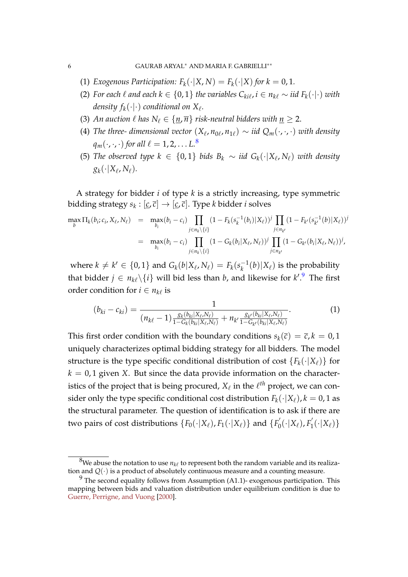- (1) *Exogenous Participation:*  $F_k(\cdot|X, N) = F_k(\cdot|X)$  *for*  $k = 0, 1$ *.*
- (2) For each  $\ell$  and each  $k \in \{0,1\}$  the variables  $C_{ki\ell}$ ,  $i \in n_{k\ell} \sim \text{iid } F_k(\cdot | \cdot)$  with density  $f_k(\cdot|\cdot)$  conditional on  $X_\ell$ .
- (3) An auction  $\ell$  has  $N_{\ell} \in \{n, \overline{n}\}\$  risk-neutral bidders with  $n \geq 2$ .
- (4) *The three- dimensional vector*  $(X_{\ell}, n_{0\ell}, n_{1\ell}) \sim$  *iid*  $Q_m(\cdot, \cdot, \cdot)$  *with density*  $q_m(\cdot,\cdot,\cdot)$  *for all*  $\ell = 1, 2, \ldots L$ .<sup>8</sup>
- (5) *The observed type k* ∈ {0, 1} *bids B<sup>k</sup>* ∼ *iid Gk*(·|*X*<sup>ℓ</sup> , *N*ℓ) *with density*  $g_k(\cdot|X_{\ell},N_{\ell}).$

A strategy for bidder *i* of type *k* is a strictly increasing, type symmetric bidding strategy  $s_k : [\underline{c}, \overline{c}] \to [\underline{c}, \overline{c}].$  Type *k* bidder *i* solves

$$
\max_{b} \Pi_{k}(b_{i};c_{i},X_{\ell},N_{\ell}) = \max_{b_{i}} (b_{i}-c_{i}) \prod_{j \in n_{k} \setminus \{i\}} (1 - F_{k}(s_{k}^{-1}(b_{i})|X_{\ell}))^{j} \prod_{j \in n_{k'}} (1 - F_{k'}(s_{k'}^{-1}(b)|X_{\ell}))^{j}
$$

$$
= \max_{b_{i}} (b_{i}-c_{i}) \prod_{j \in n_{k} \setminus \{i\}} (1 - G_{k}(b_{i}|X_{\ell},N_{\ell}))^{j} \prod_{j \in n_{k'}} (1 - G_{k'}(b_{i}|X_{\ell},N_{\ell}))^{j},
$$

where  $k \neq k' \in \{0,1\}$  and  $G_k(b|X_{\ell}, N_{\ell}) = F_k(s_k^{-1}(b)|X_{\ell})$  is the probability that bidder  $j \in n_{k\ell} \backslash \{i\}$  will bid less than *b*, and likewise for  $k'^{9}$ . The first order condition for  $i \in n_{k\ell}$  is

$$
(b_{ki} - c_{ki}) = \frac{1}{(n_{k\ell} - 1)\frac{g_k(b_{ki}|X_{\ell},N_{\ell})}{1 - G_k(b_{ki}|X_{\ell},N_{\ell})} + n_{k'}\frac{g_{k'}(b_{ki}|X_{\ell},N_{\ell})}{1 - G_{k'}(b_{ki}|X_{\ell},N_{\ell})}}.
$$
(1)

This first order condition with the boundary conditions  $s_k(\bar{c}) = \bar{c}$ ,  $k = 0, 1$ uniquely characterizes optimal bidding strategy for all bidders. The model structure is the type specific conditional distribution of cost  ${F_k(\cdot|X_\ell)}$  for  $k = 0, 1$  given *X*. But since the data provide information on the characteristics of the project that is being procured,  $X_{\ell}$  in the  $\ell^{th}$  project, we can consider only the type specific conditional cost distribution  $F_k(\cdot|X_\ell)$ ,  $k = 0, 1$  as the structural parameter. The question of identification is to ask if there are two pairs of cost distributions  $\{F_0(\cdot|X_\ell), F_1(\cdot|X_\ell)\}$  and  $\{F_0^\prime(\cdot|X_\ell)\}$  $F'_{0}(\cdot|X_{\ell}), F'_{1}$  $T_1(\cdot|X_{\ell})\}$ 

 $^8$ We abuse the notation to use  $n_{k\ell}$  to represent both the random variable and its realization and *Q*(·) is a product of absolutely continuous measure and a counting measure.

 $9$  The second equality follows from Assumption (A1.1)- exogenous participation. This mapping between bids and valuation distribution under equilibrium condition is due to Guerre, Perrigne, and Vuong [2000].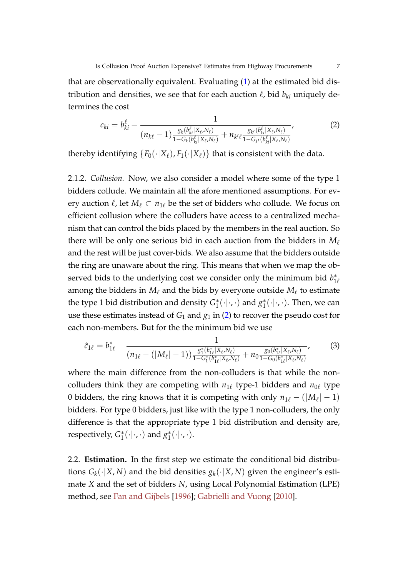that are observationally equivalent. Evaluating (1) at the estimated bid distribution and densities, we see that for each auction  $\ell$ , bid  $b_{ki}$  uniquely determines the cost

$$
c_{ki} = b_{ki}^{\ell} - \frac{1}{(n_{k\ell} - 1)\frac{g_k(b_{ki}^{\ell}|X_{\ell},N_{\ell})}{1 - G_k(b_{ki}^{\ell}|X_{\ell},N_{\ell})} + n_{k'\ell}\frac{g_{k'}(b_{ki}^{\ell}|X_{\ell},N_{\ell})}{1 - G_{k'}(b_{ki}^{\ell}|X_{\ell},N_{\ell})}},
$$
(2)

thereby identifying  ${F_0(\cdot|X_\ell), F_1(\cdot|X_\ell)}$  that is consistent with the data.

2.1.2. *Collusion.* Now, we also consider a model where some of the type 1 bidders collude. We maintain all the afore mentioned assumptions. For every auction  $\ell$ , let  $M_{\ell} \subset n_{1\ell}$  be the set of bidders who collude. We focus on efficient collusion where the colluders have access to a centralized mechanism that can control the bids placed by the members in the real auction. So there will be only one serious bid in each auction from the bidders in *M*ℓ and the rest will be just cover-bids. We also assume that the bidders outside the ring are unaware about the ring. This means that when we map the observed bids to the underlying cost we consider only the minimum bid  $b_{1\ell}^*$ among the bidders in  $M_\ell$  and the bids by everyone outside  $M_\ell$  to estimate the type 1 bid distribution and density  $G_1^*(\cdot|\cdot,\cdot)$  and  $g_1^*(\cdot|\cdot,\cdot)$ . Then, we can use these estimates instead of  $G_1$  and  $g_1$  in (2) to recover the pseudo cost for each non-members. But for the the minimum bid we use

$$
\hat{c}_{1\ell} = b_{1\ell}^* - \frac{1}{(n_{1\ell} - (|M_{\ell}| - 1))\frac{g_1^*(b_{1\ell}^*|X_{\ell}, N_{\ell})}{1 - G_1^*(b_{1\ell}^*|X_{\ell}, N_{\ell})} + n_0 \frac{g_0(b_{1\ell}^*|X_{\ell}, N_{\ell})}{1 - G_0(b_{1\ell}^*|X_{\ell}, N_{\ell})}},
$$
(3)

where the main difference from the non-colluders is that while the noncolluders think they are competing with *n*1<sup>ℓ</sup> type-1 bidders and *n*0<sup>ℓ</sup> type 0 bidders, the ring knows that it is competing with only  $n_{1\ell} - (|M_{\ell}| - 1)$ bidders. For type 0 bidders, just like with the type 1 non-colluders, the only difference is that the appropriate type 1 bid distribution and density are, respectively,  $G_1^*(\cdot|\cdot,\cdot)$  and  $g_1^*(\cdot|\cdot,\cdot)$ .

2.2. **Estimation.** In the first step we estimate the conditional bid distributions  $G_k(\cdot|X, N)$  and the bid densities  $g_k(\cdot|X, N)$  given the engineer's estimate *X* and the set of bidders *N*, using Local Polynomial Estimation (LPE) method, see Fan and Gijbels [1996]; Gabrielli and Vuong [2010].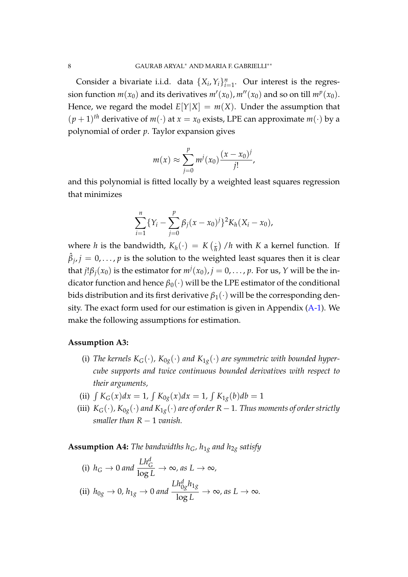Consider a bivariate i.i.d. data  $\{X_i, Y_i\}_{i=1}^n$ . Our interest is the regression function  $m(x_0)$  and its derivatives  $m'(x_0)$ ,  $m''(x_0)$  and so on till  $m^p(x_0)$ . Hence, we regard the model  $E[Y|X] = m(X)$ . Under the assumption that  $(p+1)$ <sup>th</sup> derivative of  $m(\cdot)$  at  $x = x_0$  exists, LPE can approximate  $m(\cdot)$  by a polynomial of order *p*. Taylor expansion gives

$$
m(x) \approx \sum_{j=0}^{p} m^{j}(x_0) \frac{(x - x_0)^j}{j!},
$$

and this polynomial is fitted locally by a weighted least squares regression that minimizes

$$
\sum_{i=1}^n \{Y_i - \sum_{j=0}^p \beta_j (x - x_0)^j\}^2 K_h (X_i - x_0),
$$

where *h* is the bandwidth,  $K_h(\cdot) = K(\frac{1}{h})/h$  with *K* a kernel function. If  $\hat{\beta}_j$ ,  $j=0,\ldots,p$  is the solution to the weighted least squares then it is clear that  $j!\beta_j(x_0)$  is the estimator for  $m^j(x_0)$ ,  $j=0,\ldots,p$ . For us,  $Y$  will be the indicator function and hence  $\beta_0(\cdot)$  will be the LPE estimator of the conditional bids distribution and its first derivative  $\beta_1(\cdot)$  will be the corresponding density. The exact form used for our estimation is given in Appendix (A-1). We make the following assumptions for estimation.

#### **Assumption A3:**

- (i) The kernels  $K_G(\cdot)$ ,  $K_{0g}(\cdot)$  and  $K_{1g}(\cdot)$  are symmetric with bounded hyper*cube supports and twice continuous bounded derivatives with respect to their arguments,*
- (ii)  $\int K_G(x)dx = 1$ ,  $\int K_{0g}(x)dx = 1$ ,  $\int K_{1g}(b)db = 1$
- (iii)  $K_G(\cdot)$ ,  $K_{0g}(\cdot)$  *and*  $K_{1g}(\cdot)$  *are of order*  $R-1$ *. Thus moments of order strictly smaller than R* − 1 *vanish.*

**Assumption A4:** The bandwidths  $h_G$ ,  $h_{1g}$  and  $h_{2g}$  satisfy

(i) 
$$
h_G \to 0
$$
 and  $\frac{Lh_G^d}{\log L} \to \infty$ , as  $L \to \infty$ ,  
\n(ii)  $h_{0g} \to 0$ ,  $h_{1g} \to 0$  and  $\frac{Lh_{0g}^d h_{1g}}{\log L} \to \infty$ , as  $L \to \infty$ .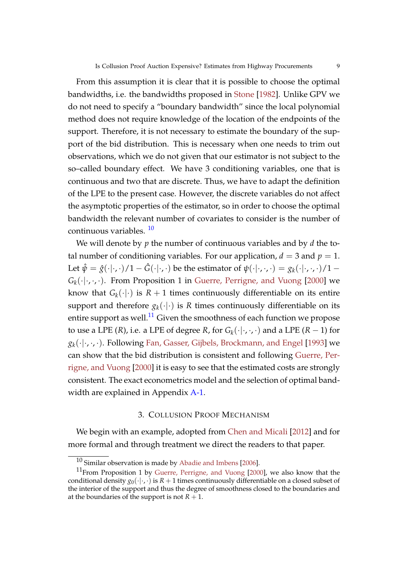From this assumption it is clear that it is possible to choose the optimal bandwidths, i.e. the bandwidths proposed in Stone [1982]. Unlike GPV we do not need to specify a "boundary bandwidth" since the local polynomial method does not require knowledge of the location of the endpoints of the support. Therefore, it is not necessary to estimate the boundary of the support of the bid distribution. This is necessary when one needs to trim out observations, which we do not given that our estimator is not subject to the so–called boundary effect. We have 3 conditioning variables, one that is continuous and two that are discrete. Thus, we have to adapt the definition of the LPE to the present case. However, the discrete variables do not affect the asymptotic properties of the estimator, so in order to choose the optimal bandwidth the relevant number of covariates to consider is the number of continuous variables. <sup>10</sup>

We will denote by *p* the number of continuous variables and by *d* the total number of conditioning variables. For our application,  $d = 3$  and  $p = 1$ . Let  $\hat{\psi} = \hat{g}(\cdot|\cdot,\cdot)/1 - \hat{G}(\cdot|\cdot,\cdot)$  be the estimator of  $\psi(\cdot|\cdot,\cdot,\cdot) = g_k(\cdot|\cdot,\cdot,\cdot)/1 G_k(\cdot|\cdot,\cdot,\cdot)$ . From Proposition 1 in Guerre, Perrigne, and Vuong [2000] we know that  $G_k(\cdot|\cdot)$  is  $R+1$  times continuously differentiable on its entire support and therefore  $g_k(\cdot|\cdot)$  is *R* times continuously differentiable on its entire support as well. $^{11}$  Given the smoothness of each function we propose to use a LPE (*R*), i.e. a LPE of degree *R*, for  $G_k(\cdot|\cdot,\cdot,\cdot)$  and a LPE (*R* − 1) for  $g_k(\cdot|\cdot,\cdot,\cdot)$ . Following Fan, Gasser, Gijbels, Brockmann, and Engel [1993] we can show that the bid distribution is consistent and following Guerre, Perrigne, and Vuong [2000] it is easy to see that the estimated costs are strongly consistent. The exact econometrics model and the selection of optimal bandwidth are explained in Appendix A-1.

#### 3. COLLUSION PROOF MECHANISM

We begin with an example, adopted from Chen and Micali [2012] and for more formal and through treatment we direct the readers to that paper.

<sup>10</sup> Similar observation is made by Abadie and Imbens [2006].

 $11$ From Proposition 1 by Guerre, Perrigne, and Vuong [2000], we also know that the conditional density  $g_0(\cdot|\cdot,\cdot)$  is  $R+1$  times continuously differentiable on a closed subset of the interior of the support and thus the degree of smoothness closed to the boundaries and at the boundaries of the support is not  $R + 1$ .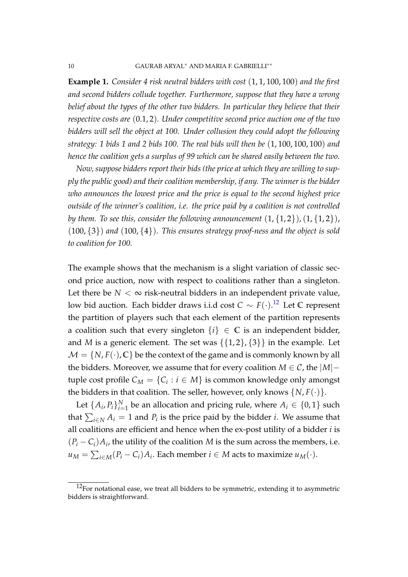**Example 1.** *Consider 4 risk neutral bidders with cost* (1, 1, 100, 100) *and the first and second bidders collude together. Furthermore, suppose that they have a wrong belief about the types of the other two bidders. In particular they believe that their respective costs are* (0.1, 2)*. Under competitive second price auction one of the two bidders will sell the object at 100. Under collusion they could adopt the following strategy: 1 bids 1 and 2 bids 100. The real bids will then be* (1, 100, 100, 100) *and hence the coalition gets a surplus of 99 which can be shared easily between the two.*

*Now, suppose bidders report their bids (the price at which they are willing to supply the public good) and their coalition membership, if any. The winner is the bidder who announces the lowest price and the price is equal to the second highest price outside of the winner's coalition, i.e. the price paid by a coalition is not controlled by them. To see this, consider the following announcement*  $(1, {1, 2})$ ,  $(1, {1, 2})$ , (100, {3}) *and* (100, {4})*. This ensures strategy proof-ness and the object is sold to coalition for 100.*

The example shows that the mechanism is a slight variation of classic second price auction, now with respect to coalitions rather than a singleton. Let there be  $N < \infty$  risk-neutral bidders in an independent private value, low bid auction. Each bidder draws i.i.d cost *C* ∼ *F*(·). <sup>12</sup> Let **C** represent the partition of players such that each element of the partition represents a coalition such that every singleton  $\{i\} \in \mathbb{C}$  is an independent bidder, and *M* is a generic element. The set was  $\{\{1,2\},\{3\}\}\$  in the example. Let  $M = \{N, F(\cdot), C\}$  be the context of the game and is commonly known by all the bidders. Moreover, we assume that for every coalition  $M \in \mathcal{C}$ , the  $|M|$  – tuple cost profile  $C_M = \{C_i : i \in M\}$  is common knowledge only amongst the bidders in that coalition. The seller, however, only knows  $\{N, F(\cdot)\}.$ 

Let  $\{A_i, P_i\}_{i=1}^N$  be an allocation and pricing rule, where  $A_i \in \{0, 1\}$  such that  $\sum_{i\in\mathbb{N}}A_i=1$  and  $P_i$  is the price paid by the bidder *i*. We assume that all coalitions are efficient and hence when the ex-post utility of a bidder *i* is  $(P_i - C_i)A_i$ , the utility of the coalition *M* is the sum across the members, i.e. *u*<sub>*M*</sub> =  $\sum_{i \in M} (P_i - C_i) A_i$ . Each member *i* ∈ *M* acts to maximize *u*<sub>*M*</sub>(·).

 $12$ For notational ease, we treat all bidders to be symmetric, extending it to asymmetric bidders is straightforward.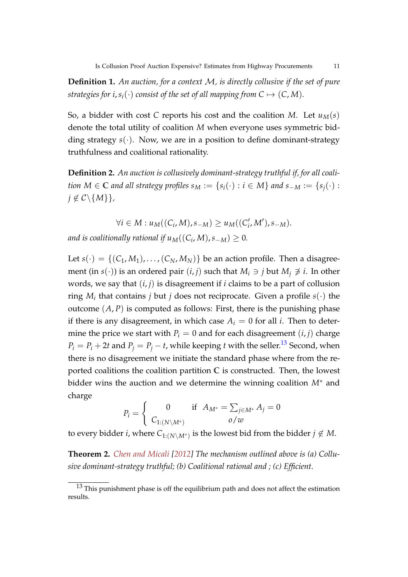**Definition 1.** *An auction, for a context* M*, is directly collusive if the set of pure strategies for i,*  $s_i(\cdot)$  *consist of the set of all mapping from*  $C \mapsto (C, M)$ *.* 

So, a bidder with cost C reports his cost and the coalition *M*. Let  $u_M(s)$ denote the total utility of coalition *M* when everyone uses symmetric bidding strategy  $s(\cdot)$ . Now, we are in a position to define dominant-strategy truthfulness and coalitional rationality.

**Definition 2.** *An auction is collusively dominant-strategy truthful if, for all coalition*  $M \in \mathbb{C}$  *and all strategy profiles*  $s_M := \{s_i(\cdot) : i \in M\}$  *and*  $s_{-M} := \{s_i(\cdot) : i \in M\}$  $j \notin \mathcal{C} \backslash \{M\}\},\$ 

 $∀i ∈ M : u<sub>M</sub>((C<sub>i</sub>, M), s<sub>-M</sub>) ≥ u<sub>M</sub>((C'<sub>i</sub>, M'), s<sub>-M</sub>).$ 

*and is coalitionally rational if*  $u_M((C_i, M), s_{-M}) \geq 0$ *.* 

Let  $s(\cdot) = \{(C_1, M_1), \ldots, (C_N, M_N)\}\)$  be an action profile. Then a disagreement (in *s*(·)) is an ordered pair  $(i, j)$  such that  $M_i \ni j$  but  $M_j \not\ni i$ . In other words, we say that  $(i, j)$  is disagreement if *i* claims to be a part of collusion ring  $M_i$  that contains *j* but *j* does not reciprocate. Given a profile  $s(\cdot)$  the outcome  $(A, P)$  is computed as follows: First, there is the punishing phase if there is any disagreement, in which case  $A_i = 0$  for all *i*. Then to determine the price we start with  $P_i = 0$  and for each disagreement  $(i, j)$  charge  $P_i = P_i + 2t$  and  $P_j = P_j - t$ , while keeping *t* with the seller.<sup>13</sup> Second, when there is no disagreement we initiate the standard phase where from the reported coalitions the coalition partition **C** is constructed. Then, the lowest bidder wins the auction and we determine the winning coalition *M*∗ and charge

$$
P_i = \begin{cases} 0 & \text{if } A_{M^*} = \sum_{j \in M^*} A_j = 0\\ C_{1:(N \setminus M^*)} & o/w \end{cases}
$$

to every bidder *i*, where  $C_{1:(N\setminus M^*)}$  is the lowest bid from the bidder  $j\notin M$ .

**Theorem 2.** *Chen and Micali [2012] The mechanism outlined above is (a) Collusive dominant-strategy truthful; (b) Coalitional rational and ; (c) Efficient.*

 $13$  This punishment phase is off the equilibrium path and does not affect the estimation results.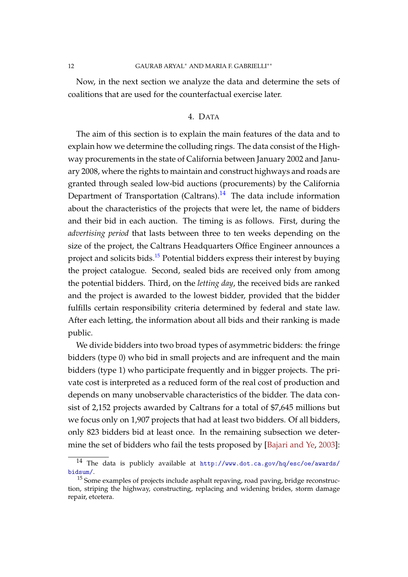#### 12 GAURAB ARYAL∗ AND MARIA F. GABRIELLI∗∗

Now, in the next section we analyze the data and determine the sets of coalitions that are used for the counterfactual exercise later.

#### 4. DATA

The aim of this section is to explain the main features of the data and to explain how we determine the colluding rings. The data consist of the Highway procurements in the state of California between January 2002 and January 2008, where the rights to maintain and construct highways and roads are granted through sealed low-bid auctions (procurements) by the California Department of Transportation (Caltrans).<sup>14</sup> The data include information about the characteristics of the projects that were let, the name of bidders and their bid in each auction. The timing is as follows. First, during the *advertising period* that lasts between three to ten weeks depending on the size of the project, the Caltrans Headquarters Office Engineer announces a project and solicits bids.<sup>15</sup> Potential bidders express their interest by buying the project catalogue. Second, sealed bids are received only from among the potential bidders. Third, on the *letting day*, the received bids are ranked and the project is awarded to the lowest bidder, provided that the bidder fulfills certain responsibility criteria determined by federal and state law. After each letting, the information about all bids and their ranking is made public.

We divide bidders into two broad types of asymmetric bidders: the fringe bidders (type 0) who bid in small projects and are infrequent and the main bidders (type 1) who participate frequently and in bigger projects. The private cost is interpreted as a reduced form of the real cost of production and depends on many unobservable characteristics of the bidder. The data consist of 2,152 projects awarded by Caltrans for a total of \$7,645 millions but we focus only on 1,907 projects that had at least two bidders. Of all bidders, only 823 bidders bid at least once. In the remaining subsection we determine the set of bidders who fail the tests proposed by [Bajari and Ye, 2003]:

<sup>14</sup> The data is publicly available at http://www.dot.ca.gov/hq/esc/oe/awards/ bidsum/.

<sup>&</sup>lt;sup>15</sup> Some examples of projects include asphalt repaving, road paving, bridge reconstruction, striping the highway, constructing, replacing and widening brides, storm damage repair, etcetera.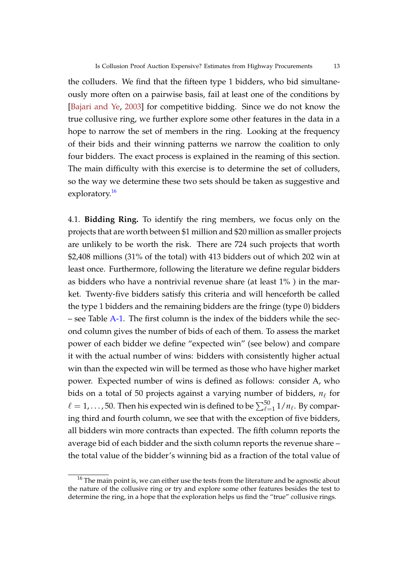the colluders. We find that the fifteen type 1 bidders, who bid simultaneously more often on a pairwise basis, fail at least one of the conditions by [Bajari and Ye, 2003] for competitive bidding. Since we do not know the true collusive ring, we further explore some other features in the data in a hope to narrow the set of members in the ring. Looking at the frequency of their bids and their winning patterns we narrow the coalition to only four bidders. The exact process is explained in the reaming of this section. The main difficulty with this exercise is to determine the set of colluders, so the way we determine these two sets should be taken as suggestive and exploratory.<sup>16</sup>

4.1. **Bidding Ring.** To identify the ring members, we focus only on the projects that are worth between \$1 million and \$20 million as smaller projects are unlikely to be worth the risk. There are 724 such projects that worth \$2,408 millions (31% of the total) with 413 bidders out of which 202 win at least once. Furthermore, following the literature we define regular bidders as bidders who have a nontrivial revenue share (at least 1% ) in the market. Twenty-five bidders satisfy this criteria and will henceforth be called the type 1 bidders and the remaining bidders are the fringe (type 0) bidders – see Table A-1. The first column is the index of the bidders while the second column gives the number of bids of each of them. To assess the market power of each bidder we define "expected win" (see below) and compare it with the actual number of wins: bidders with consistently higher actual win than the expected win will be termed as those who have higher market power. Expected number of wins is defined as follows: consider A, who bids on a total of 50 projects against a varying number of bidders, *n*ℓ for  $\ell=1,\ldots$  , 50. Then his expected win is defined to be  $\sum_{\ell=1}^{50}1/n_{\ell}.$  By comparing third and fourth column, we see that with the exception of five bidders, all bidders win more contracts than expected. The fifth column reports the average bid of each bidder and the sixth column reports the revenue share – the total value of the bidder's winning bid as a fraction of the total value of

 $16$  The main point is, we can either use the tests from the literature and be agnostic about the nature of the collusive ring or try and explore some other features besides the test to determine the ring, in a hope that the exploration helps us find the "true" collusive rings.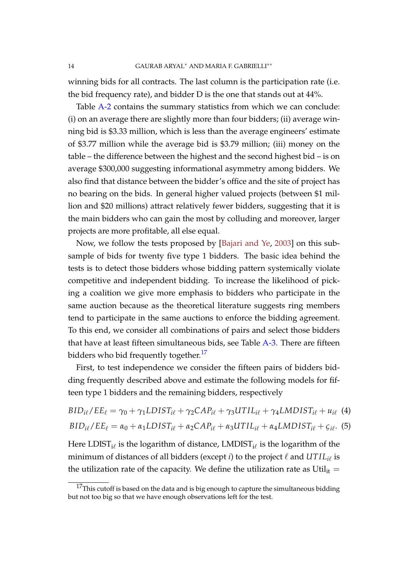winning bids for all contracts. The last column is the participation rate (i.e. the bid frequency rate), and bidder D is the one that stands out at 44%.

Table A-2 contains the summary statistics from which we can conclude: (i) on an average there are slightly more than four bidders; (ii) average winning bid is \$3.33 million, which is less than the average engineers' estimate of \$3.77 million while the average bid is \$3.79 million; (iii) money on the table – the difference between the highest and the second highest bid – is on average \$300,000 suggesting informational asymmetry among bidders. We also find that distance between the bidder's office and the site of project has no bearing on the bids. In general higher valued projects (between \$1 million and \$20 millions) attract relatively fewer bidders, suggesting that it is the main bidders who can gain the most by colluding and moreover, larger projects are more profitable, all else equal.

Now, we follow the tests proposed by [Bajari and Ye, 2003] on this subsample of bids for twenty five type 1 bidders. The basic idea behind the tests is to detect those bidders whose bidding pattern systemically violate competitive and independent bidding. To increase the likelihood of picking a coalition we give more emphasis to bidders who participate in the same auction because as the theoretical literature suggests ring members tend to participate in the same auctions to enforce the bidding agreement. To this end, we consider all combinations of pairs and select those bidders that have at least fifteen simultaneous bids, see Table A-3. There are fifteen bidders who bid frequently together.<sup>17</sup>

First, to test independence we consider the fifteen pairs of bidders bidding frequently described above and estimate the following models for fifteen type 1 bidders and the remaining bidders, respectively

$$
BID_{i\ell}/EE_{\ell} = \gamma_0 + \gamma_1 LDIST_{i\ell} + \gamma_2 CAP_{i\ell} + \gamma_3 UTIL_{i\ell} + \gamma_4 LMDIST_{i\ell} + u_{i\ell} \tag{4}
$$

$$
BID_{i\ell}/EE_{\ell} = \alpha_0 + \alpha_1 LDIST_{i\ell} + \alpha_2 CAP_{i\ell} + \alpha_3 UTIL_{i\ell} + \alpha_4 LMDIST_{i\ell} + \varsigma_{i\ell}.
$$
 (5)

Here  $\textrm{LDIST}_{\rm i\ell}$  is the logarithm of distance,  $\textrm{LMDIST}_{\rm i\ell}$  is the logarithm of the minimum of distances of all bidders (except *i*) to the project  $\ell$  and  $U T I L_{i\ell}$  is the utilization rate of the capacity. We define the utilization rate as  $Util_{it} =$ 

 $17$ This cutoff is based on the data and is big enough to capture the simultaneous bidding but not too big so that we have enough observations left for the test.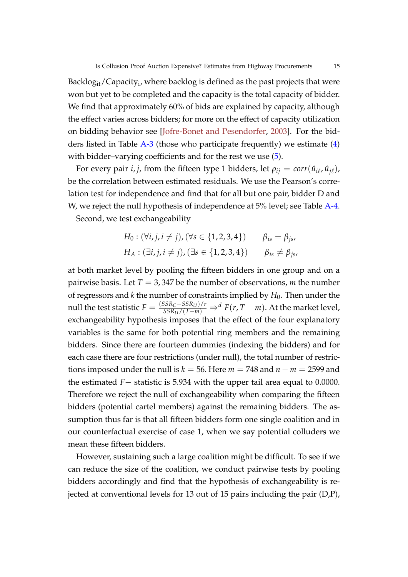Backlo $\rm g_{it}/C$ apacity $_{\rm i}$ , where backlog is defined as the past projects that were won but yet to be completed and the capacity is the total capacity of bidder. We find that approximately 60% of bids are explained by capacity, although the effect varies across bidders; for more on the effect of capacity utilization on bidding behavior see [Jofre-Bonet and Pesendorfer, 2003]. For the bidders listed in Table  $A-3$  (those who participate frequently) we estimate  $(4)$ with bidder–varying coefficients and for the rest we use  $(5)$ .

For every pair *i*, *j*, from the fifteen type 1 bidders, let  $\rho_{ij} = \text{corr}(\hat{u}_{i\ell}, \hat{u}_{j\ell})$ , be the correlation between estimated residuals. We use the Pearson's correlation test for independence and find that for all but one pair, bidder D and W, we reject the null hypothesis of independence at 5% level; see Table A-4.

Second, we test exchangeability

$$
H_0: (\forall i, j, i \neq j), (\forall s \in \{1, 2, 3, 4\}) \qquad \beta_{is} = \beta_{js},
$$
  

$$
H_A: (\exists i, j, i \neq j), (\exists s \in \{1, 2, 3, 4\}) \qquad \beta_{is} \neq \beta_{js},
$$

at both market level by pooling the fifteen bidders in one group and on a pairwise basis. Let *T* = 3, 347 be the number of observations, *m* the number of regressors and  $k$  the number of constraints implied by  $H_0$ . Then under the null the test statistic  $F = \frac{(SSR_C - SSR_U)/r}{SSR_U/(T-m)} \Rightarrow^d F(r, T-m)$ . At the market level, exchangeability hypothesis imposes that the effect of the four explanatory variables is the same for both potential ring members and the remaining bidders. Since there are fourteen dummies (indexing the bidders) and for each case there are four restrictions (under null), the total number of restrictions imposed under the null is  $k = 56$ . Here  $m = 748$  and  $n - m = 2599$  and the estimated *F*− statistic is 5.934 with the upper tail area equal to 0.0000. Therefore we reject the null of exchangeability when comparing the fifteen bidders (potential cartel members) against the remaining bidders. The assumption thus far is that all fifteen bidders form one single coalition and in our counterfactual exercise of case 1, when we say potential colluders we mean these fifteen bidders.

However, sustaining such a large coalition might be difficult. To see if we can reduce the size of the coalition, we conduct pairwise tests by pooling bidders accordingly and find that the hypothesis of exchangeability is rejected at conventional levels for 13 out of 15 pairs including the pair (D,P),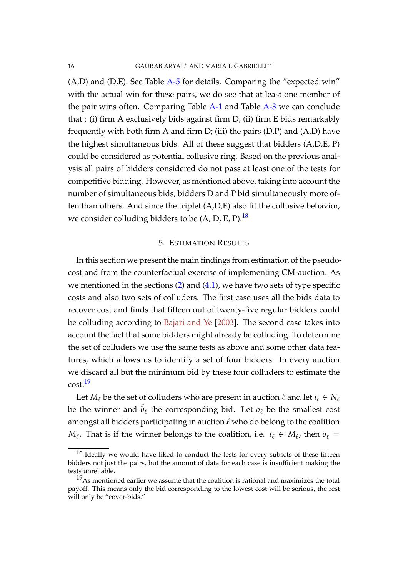(A,D) and (D,E). See Table A-5 for details. Comparing the "expected win" with the actual win for these pairs, we do see that at least one member of the pair wins often. Comparing Table A-1 and Table A-3 we can conclude that : (i) firm A exclusively bids against firm D; (ii) firm E bids remarkably frequently with both firm A and firm  $D$ ; (iii) the pairs  $(D,P)$  and  $(A,D)$  have the highest simultaneous bids. All of these suggest that bidders (A,D,E, P) could be considered as potential collusive ring. Based on the previous analysis all pairs of bidders considered do not pass at least one of the tests for competitive bidding. However, as mentioned above, taking into account the number of simultaneous bids, bidders D and P bid simultaneously more often than others. And since the triplet (A,D,E) also fit the collusive behavior, we consider colluding bidders to be  $(A, D, E, P).$ <sup>18</sup>

#### 5. ESTIMATION RESULTS

In this section we present the main findings from estimation of the pseudocost and from the counterfactual exercise of implementing CM-auction. As we mentioned in the sections  $(2)$  and  $(4.1)$ , we have two sets of type specific costs and also two sets of colluders. The first case uses all the bids data to recover cost and finds that fifteen out of twenty-five regular bidders could be colluding according to Bajari and Ye [2003]. The second case takes into account the fact that some bidders might already be colluding. To determine the set of colluders we use the same tests as above and some other data features, which allows us to identify a set of four bidders. In every auction we discard all but the minimum bid by these four colluders to estimate the  $cost.<sup>19</sup>$ 

Let  $M_\ell$  be the set of colluders who are present in auction  $\ell$  and let  $i_\ell \in N_\ell$ be the winner and  $\tilde{b}_\ell$  the corresponding bid. Let  $o_\ell$  be the smallest cost amongst all bidders participating in auction  $\ell$  who do belong to the coalition  $M_{\ell}$ . That is if the winner belongs to the coalition, i.e.  $i_{\ell} \in M_{\ell}$ , then  $o_{\ell} =$ 

 $18$  Ideally we would have liked to conduct the tests for every subsets of these fifteen bidders not just the pairs, but the amount of data for each case is insufficient making the tests unreliable.

 $19As$  mentioned earlier we assume that the coalition is rational and maximizes the total payoff. This means only the bid corresponding to the lowest cost will be serious, the rest will only be "cover-bids."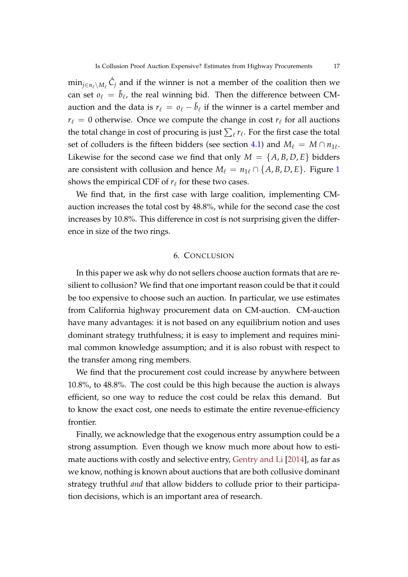$\min_{j \in n_\ell \setminus M_\ell} \hat{C}_j$  and if the winner is not a member of the coalition then we can set  $o_\ell = \tilde{b}_\ell$ , the real winning bid. Then the difference between CMauction and the data is  $r_\ell = o_\ell - \tilde{b}_\ell$  if the winner is a cartel member and  $r_{\ell} = 0$  otherwise. Once we compute the change in cost  $r_{\ell}$  for all auctions the total change in cost of procuring is just  $\sum_\ell r_\ell.$  For the first case the total set of colluders is the fifteen bidders (see section 4.1) and  $M_{\ell} = M \cap n_{1\ell}$ . Likewise for the second case we find that only  $M = \{A, B, D, E\}$  bidders are consistent with collusion and hence  $M_\ell = n_{1\ell} \cap \{A, B, D, E\}$ . Figure 1 shows the empirical CDF of  $r_\ell$  for these two cases.

We find that, in the first case with large coalition, implementing CMauction increases the total cost by 48.8%, while for the second case the cost increases by 10.8%. This difference in cost is not surprising given the difference in size of the two rings.

#### 6. CONCLUSION

In this paper we ask why do not sellers choose auction formats that are resilient to collusion? We find that one important reason could be that it could be too expensive to choose such an auction. In particular, we use estimates from California highway procurement data on CM-auction. CM-auction have many advantages: it is not based on any equilibrium notion and uses dominant strategy truthfulness; it is easy to implement and requires minimal common knowledge assumption; and it is also robust with respect to the transfer among ring members.

We find that the procurement cost could increase by anywhere between 10.8%, to 48.8%. The cost could be this high because the auction is always efficient, so one way to reduce the cost could be relax this demand. But to know the exact cost, one needs to estimate the entire revenue-efficiency frontier.

Finally, we acknowledge that the exogenous entry assumption could be a strong assumption. Even though we know much more about how to estimate auctions with costly and selective entry, Gentry and Li [2014], as far as we know, nothing is known about auctions that are both collusive dominant strategy truthful *and* that allow bidders to collude prior to their participation decisions, which is an important area of research.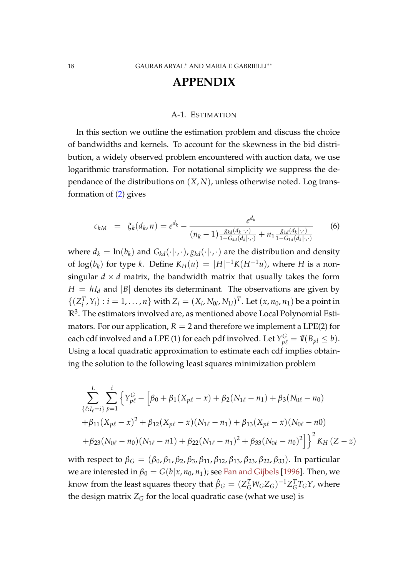## **APPENDIX**

#### A-1. ESTIMATION

In this section we outline the estimation problem and discuss the choice of bandwidths and kernels. To account for the skewness in the bid distribution, a widely observed problem encountered with auction data, we use logarithmic transformation. For notational simplicity we suppress the dependance of the distributions on (*X*, *N*), unless otherwise noted. Log transformation of (2) gives

$$
c_{kM} = \xi_k(d_k, n) = e^{d_k} - \frac{e^{d_k}}{(n_k - 1) \frac{g_{kd}(d_k|\cdot, \cdot)}{1 - G_{kd}(d_k|\cdot, \cdot)} + n_1 \frac{g_{1d}(d_k|\cdot, \cdot)}{1 - G_{1d}(d_k|\cdot, \cdot)}} \tag{6}
$$

where  $d_k = \ln(b_k)$  and  $G_{kd}(\cdot|\cdot,\cdot)$ ,  $g_{kd}(\cdot|\cdot,\cdot)$  are the distribution and density of  $\log(b_k)$  for type *k*. Define  $K_H(u) = |H|^{-1}K(H^{-1}u)$ , where *H* is a nonsingular  $d \times d$  matrix, the bandwidth matrix that usually takes the form  $H = hI_d$  and |*B*| denotes its determinant. The observations are given by  $\{(\mathbf{Z}_i^T)$  $Y_i^T$ ,  $Y_i$ ) :  $i = 1, ..., n$  with  $Z_i = (X_i, N_{0i}, N_{1i})^T$ . Let  $(x, n_0, n_1)$  be a point in **R**3 . The estimators involved are, as mentioned above Local Polynomial Estimators. For our application,  $R = 2$  and therefore we implement a LPE(2) for each cdf involved and a LPE (1) for each pdf involved. Let  $Y_{p\ell}^G = {1\!\!1} (B_{pl} \leq b)$ . Using a local quadratic approximation to estimate each cdf implies obtaining the solution to the following least squares minimization problem

$$
\sum_{\{\ell:I_{\ell}=i\}}^{L} \sum_{p=1}^{i} \left\{ Y_{p\ell}^{G} - \left[ \beta_{0} + \beta_{1} (X_{p\ell} - x) + \beta_{2} (N_{1\ell} - n_{1}) + \beta_{3} (N_{0\ell} - n_{0}) \right. \right.\n+ \beta_{11} (X_{p\ell} - x)^{2} + \beta_{12} (X_{p\ell} - x) (N_{1\ell} - n_{1}) + \beta_{13} (X_{p\ell} - x) (N_{0\ell} - n_{0}) \n+ \beta_{23} (N_{0\ell} - n_{0}) (N_{1\ell} - n_{1}) + \beta_{22} (N_{1\ell} - n_{1})^{2} + \beta_{33} (N_{0\ell} - n_{0})^{2} \right] \right\}^{2} K_{H} (Z - z)
$$

with respect to  $β$ <sup>*G*</sup> =  $(β_0, β_1, β_2, β_3, β_{11}, β_{12}, β_{13}, β_{23}, β_{22}, β_{33})$ . In particular we are interested in  $\beta_0 = G(b|x, n_0, n_1)$ ; see Fan and Gijbels [1996]. Then, we know from the least squares theory that  $\hat{\beta}_G = (Z_G^TW_GZ_G)^{-1}Z_G^T$  $\int_G^T T_G Y$ , where the design matrix  $Z_G$  for the local quadratic case (what we use) is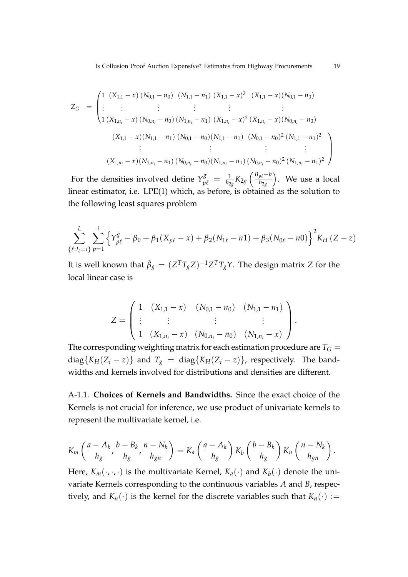$$
Z_G = \begin{pmatrix} 1 & (X_{1,1} - x) (N_{0,1} - n_0) & (N_{1,1} - n_1) (X_{1,1} - x)^2 & (X_{1,1} - x) (N_{0,1} - n_0) \\ \vdots & \vdots & \vdots & \vdots & \vdots \\ 1 & (X_{1,n_i} - x) (N_{0,n_i} - n_0) (N_{1,n_i} - n_1) (X_{1,n_i} - x)^2 (X_{1,n_i} - x) (N_{0,n_i} - n_0) \\ (X_{1,1} - x) (N_{1,1} - n_1) (N_{0,1} - n_0) (N_{1,1} - n_1) (N_{0,1} - n_0)^2 (N_{1,1} - n_1)^2 \\ \vdots & \vdots & \vdots & \vdots \\ (X_{1,n_i} - x) (N_{1,n_i} - n_1) (N_{0,n_i} - n_0) (N_{1,n_i} - n_1) (N_{0,n_i} - n_0)^2 (N_{1,n_i} - n_1)^2 \end{pmatrix}
$$

For the densities involved define  $Y_{p\ell}^g = \frac{1}{h_{2g}} K_{2g} \left( \frac{B_{p\ell} - b}{h_{2g}} \right)$ *h*2*<sup>g</sup>* . We use a local linear estimator, i.e. LPE(1) which, as before, is obtained as the solution to the following least squares problem

$$
\sum_{\{\ell:I_{\ell}=i\}}^{L} \sum_{p=1}^{i} \left\{ Y_{p\ell}^{g} - \beta_0 + \beta_1 (X_{p\ell} - x) + \beta_2 (N_{1\ell} - n1) + \beta_3 (N_{0\ell} - n0) \right\}^2 K_H (Z - z)
$$

It is well known that  $\hat{\beta}_g = (Z^T T_g Z)^{-1} Z^T T_g Y$ . The design matrix  $Z$  for the local linear case is

$$
Z = \left( \begin{array}{cccc} 1 & (X_{1,1} - x) & (N_{0,1} - n_0) & (N_{1,1} - n_1) \\ \vdots & \vdots & \vdots & \vdots \\ 1 & (X_{1,n_i} - x) & (N_{0,n_i} - n_0) & (N_{1,n_i} - x) \end{array} \right).
$$

The corresponding weighting matrix for each estimation procedure are  $T_G =$ diag{ $K_H(Z_i - z)$ } and  $T_g = \text{diag}\{K_H(Z_i - z)\}$ , respectively. The bandwidths and kernels involved for distributions and densities are different.

A-1.1. **Choices of Kernels and Bandwidths.** Since the exact choice of the Kernels is not crucial for inference, we use product of univariate kernels to represent the multivariate kernel, i.e.

$$
K_m\left(\frac{a-A_k}{h_g},\frac{b-B_k}{h_g},\frac{n-N_k}{h_{gn}}\right)=K_a\left(\frac{a-A_k}{h_g}\right)K_b\left(\frac{b-B_k}{h_g}\right)K_n\left(\frac{n-N_k}{h_{gn}}\right).
$$

Here,  $K_m(\cdot, \cdot, \cdot)$  is the multivariate Kernel,  $K_a(\cdot)$  and  $K_b(\cdot)$  denote the univariate Kernels corresponding to the continuous variables *A* and *B*, respectively, and  $K_n(\cdot)$  is the kernel for the discrete variables such that  $K_n(\cdot) :=$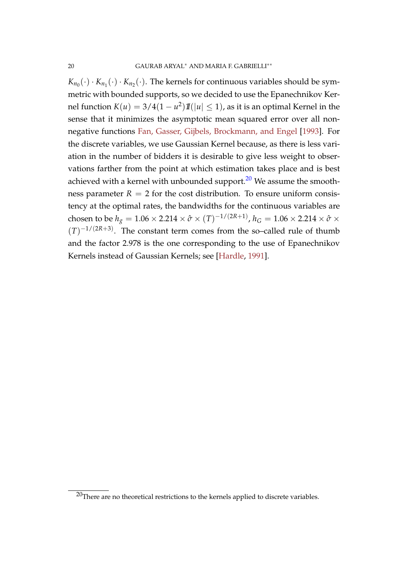$K_{n_0}(\cdot) \cdot K_{n_1}(\cdot) \cdot K_{n_2}(\cdot)$ . The kernels for continuous variables should be symmetric with bounded supports, so we decided to use the Epanechnikov Kernel function  $K(u) = 3/4(1 - u^2)I\!\!I(|u| \le 1)$ , as it is an optimal Kernel in the sense that it minimizes the asymptotic mean squared error over all nonnegative functions Fan, Gasser, Gijbels, Brockmann, and Engel [1993]. For the discrete variables, we use Gaussian Kernel because, as there is less variation in the number of bidders it is desirable to give less weight to observations farther from the point at which estimation takes place and is best achieved with a kernel with unbounded support. $^{20}$  We assume the smoothness parameter  $R = 2$  for the cost distribution. To ensure uniform consistency at the optimal rates, the bandwidths for the continuous variables are chosen to be  $h_g = 1.06 \times 2.214 \times \hat{\sigma} \times (T)^{-1/(2R+1)}$ ,  $h_G = 1.06 \times 2.214 \times \hat{\sigma} \times$  $(T)^{-1/(2R+3)}$ . The constant term comes from the so–called rule of thumb and the factor 2.978 is the one corresponding to the use of Epanechnikov Kernels instead of Gaussian Kernels; see [Hardle, 1991].

 $20$ There are no theoretical restrictions to the kernels applied to discrete variables.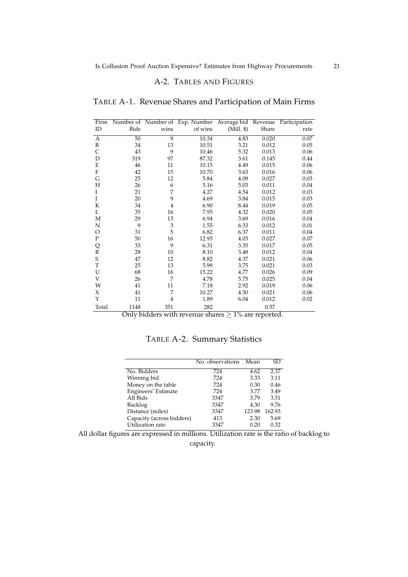#### A-2. TABLES AND FIGURES

| Firm         |                 |                | Number of Number of Exp. Number | Average bid | Revenue | Participation |
|--------------|-----------------|----------------|---------------------------------|-------------|---------|---------------|
| ID           | <b>Bids</b>     | wins           | of wins                         | (Mill. \$)  | Share   | rate          |
| A            | $\overline{50}$ | $\overline{9}$ | 10.34                           | 4.83        | 0.020   | 0.07          |
| B            | 34              | 13             | 10.51                           | 3.21        | 0.012   | 0.05          |
| Ċ            | 43              | 9              | 10.46                           | 5.32        | 0.013   | 0.06          |
| D            | 319             | 97             | 87.32                           | 3.61        | 0.145   | 0.44          |
| E            | 46              | 11             | 10.15                           | 4.49        | 0.015   | 0.06          |
| F            | 42              | 15             | 10.70                           | 3.63        | 0.016   | 0.06          |
| G            | 25              | 12             | 5.84                            | 4.09        | 0.027   | 0.03          |
| Η            | 26              | 6              | 5.16                            | 5.03        | 0.011   | 0.04          |
| I            | 21              | 7              | 4.27                            | 4.54        | 0.012   | 0.03          |
| J            | 20              | 9              | 4.69                            | 3.84        | 0.015   | 0.03          |
| K            | 34              | $\overline{4}$ | 6.90                            | 8.44        | 0.019   | 0.05          |
| L            | 35              | 16             | 7.95                            | 4.32        | 0.020   | 0.05          |
| М            | 29              | 13             | 6.94                            | 3.69        | 0.016   | 0.04          |
| N            | 9               | 3              | 1.55                            | 6.33        | 0.012   | 0.01          |
| O            | 31              | 5              | 6.82                            | 6.37        | 0.011   | 0.04          |
| $\mathbf{P}$ | 50              | 16             | 12.95                           | 4.03        | 0.027   | 0.07          |
| Q            | 33              | 9              | 6.31                            | 3.35        | 0.017   | 0.05          |
| $\mathbf R$  | 28              | 10             | 8.10                            | 3.48        | 0.012   | 0.04          |
| S            | 47              | 12             | 8.82                            | 4.37        | 0.021   | 0.06          |
| T            | 25              | 13             | 5.99                            | 3.75        | 0.021   | 0.03          |
| U            | 68              | 16             | 15.22                           | 4.77        | 0.026   | 0.09          |
| V            | 26              | 7              | 4.78                            | 5.75        | 0.025   | 0.04          |
| W            | 41              | 11             | 7.18                            | 2.92        | 0.019   | 0.06          |
| X            | 41              | 7              | 10.27                           | 4.50        | 0.021   | 0.06          |
| Y            | 11              | 4              | 1.89                            | 6.04        | 0.012   | 0.02          |
| Total        | 1148            | 351            | 282                             |             | 0.57    |               |

TABLE A-1. Revenue Shares and Participation of Main Firms

Only bidders with revenue shares  $\geq 1\%$  are reported.

TABLE A-2. Summary Statistics

|                           | No. observations | Mean   | SD.    |
|---------------------------|------------------|--------|--------|
| No. Bidders               | 724              | 4.62   | 2.37   |
| Winning bid               | 724              | 3.33   | 3.11   |
| Money on the table        | 724              | 0.30   | 0.46   |
| Engineers' Estimate       | 724              | 3.77   | 3.49   |
| All Bids                  | 3347             | 3.79   | 3.51   |
| Backlog                   | 3347             | 4.30   | 9.76   |
| Distance (miles)          | 3347             | 123.98 | 162.93 |
| Capacity (across bidders) | 413              | 2.30   | 5.69   |
| Utilization rate          | 3347             | 0.20   | 0.32   |

All dollar figures are expressed in millions. Utilization rate is the ratio of backlog to capacity.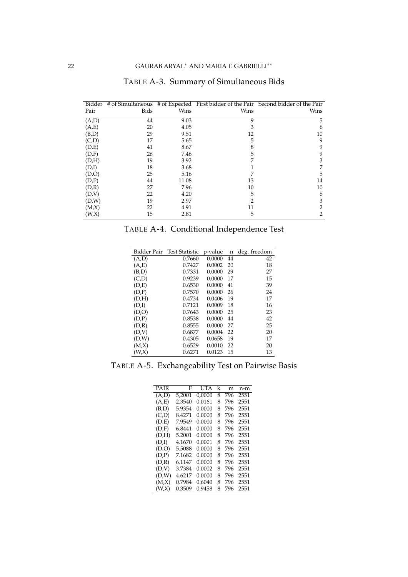| Bidder |             |       |      | # of Simultaneous # of Expected First bidder of the Pair Second bidder of the Pair |
|--------|-------------|-------|------|------------------------------------------------------------------------------------|
| Pair   | <b>Bids</b> | Wins  | Wins | Wins                                                                               |
| (A,D)  | 44          | 9.03  | 9    | 5                                                                                  |
| (A,E)  | 20          | 4.05  | 3    | 6                                                                                  |
| (B,D)  | 29          | 9.51  | 12   | 10                                                                                 |
| (C,D)  | 17          | 5.65  | 5    | 9                                                                                  |
| (D,E)  | 41          | 8.67  | 8    | 9                                                                                  |
| (D,F)  | 26          | 7.46  | 5    | 9                                                                                  |
| (D,H)  | 19          | 3.92  | 7    | 3                                                                                  |
| (D,I)  | 18          | 3.68  |      |                                                                                    |
| (D,O)  | 25          | 5.16  | 7    | 5                                                                                  |
| (D,P)  | 44          | 11.08 | 13   | 14                                                                                 |
| (D,R)  | 27          | 7.96  | 10   | 10                                                                                 |
| (D,V)  | 22          | 4.20  | 5    | 6                                                                                  |
| (D,W)  | 19          | 2.97  | 2    | 3                                                                                  |
| (M,X)  | 22          | 4.91  | 11   | 2                                                                                  |
| (W, X) | 15          | 2.81  | 5    | 2                                                                                  |

### TABLE A-3. Summary of Simultaneous Bids

TABLE A-4. Conditional Independence Test

| Bidder Pair | <b>Test Statistic</b> | p-value | n  | deg. freedom |
|-------------|-----------------------|---------|----|--------------|
| (A,D)       | 0.7660                | 0.0000  | 44 | 42           |
| (A,E)       | 0.7427                | 0.0002  | 20 | 18           |
| (B,D)       | 0.7331                | 0.0000  | 29 | 27           |
| (C,D)       | 0.9239                | 0.0000  | 17 | 15           |
| (D,E)       | 0.6530                | 0.0000  | 41 | 39           |
| (D,F)       | 0.7570                | 0.0000  | 26 | 24           |
| (D,H)       | 0.4734                | 0.0406  | 19 | 17           |
| (D,I)       | 0.7121                | 0.0009  | 18 | 16           |
| (D,O)       | 0.7643                | 0.0000  | 25 | 23           |
| (D,P)       | 0.8538                | 0.0000  | 44 | 42           |
| (D,R)       | 0.8555                | 0.0000  | 27 | 25           |
| (D,V)       | 0.6877                | 0.0004  | 22 | 20           |
| (D,W)       | 0.4305                | 0.0658  | 19 | 17           |
| (M,X)       | 0.6529                | 0.0010  | 22 | 20           |
| (W,X)       | 0.6271                | 0.0123  | 15 | 13           |

TABLE A-5. Exchangeability Test on Pairwise Basis

| <b>PAIR</b> | F      | UTA    | k | m   | n-m  |
|-------------|--------|--------|---|-----|------|
| (A,D)       | 5,2001 | 0.0000 | 8 | 796 | 2551 |
| (A,E)       | 2.3540 | 0.0161 | 8 | 796 | 2551 |
| (B,D)       | 5.9354 | 0.0000 | 8 | 796 | 2551 |
| (C,D)       | 8.4271 | 0.0000 | 8 | 796 | 2551 |
| (D,E)       | 7.9549 | 0.0000 | 8 | 796 | 2551 |
| (D,F)       | 6.8441 | 0.0000 | 8 | 796 | 2551 |
| (D,H)       | 5.2001 | 0.0000 | 8 | 796 | 2551 |
| (D,I)       | 4.1670 | 0.0001 | 8 | 796 | 2551 |
| (D,O)       | 5.5088 | 0.0000 | 8 | 796 | 2551 |
| (D,P)       | 7.1682 | 0.0000 | 8 | 796 | 2551 |
| (D,R)       | 6.1147 | 0.0000 | 8 | 796 | 2551 |
| (D.V)       | 3.7384 | 0.0002 | 8 | 796 | 2551 |
| (D,W)       | 4.6217 | 0.0000 | 8 | 796 | 2551 |
| (M,X)       | 0.7984 | 0.6040 | 8 | 796 | 2551 |
| (W, X)      | 0.3509 | 0.9458 | 8 | 796 | 2551 |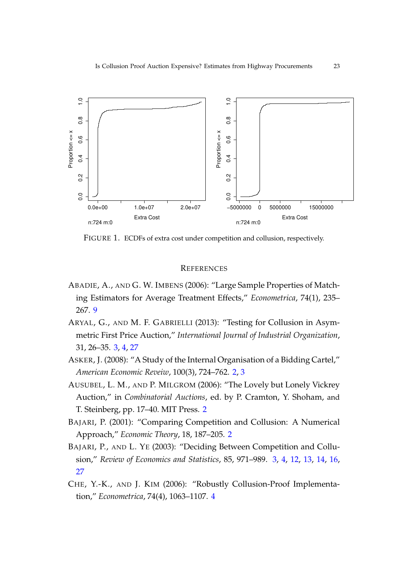

FIGURE 1. ECDFs of extra cost under competition and collusion, respectively.

#### **REFERENCES**

- ABADIE, A., AND G. W. IMBENS (2006): "Large Sample Properties of Matching Estimators for Average Treatment Effects," *Econometrica*, 74(1), 235– 267. 9
- ARYAL, G., AND M. F. GABRIELLI (2013): "Testing for Collusion in Asymmetric First Price Auction," *International Journal of Industrial Organization*, 31, 26–35. 3, 4, 27
- ASKER, J. (2008): "A Study of the Internal Organisation of a Bidding Cartel," *American Economic Reveiw*, 100(3), 724–762. 2, 3
- AUSUBEL, L. M., AND P. MILGROM (2006): "The Lovely but Lonely Vickrey Auction," in *Combinatorial Auctions*, ed. by P. Cramton, Y. Shoham, and T. Steinberg, pp. 17–40. MIT Press. 2
- BAJARI, P. (2001): "Comparing Competition and Collusion: A Numerical Approach," *Economic Theory*, 18, 187–205. 2
- BAJARI, P., AND L. YE (2003): "Deciding Between Competition and Collusion," *Review of Economics and Statistics*, 85, 971–989. 3, 4, 12, 13, 14, 16, 27
- CHE, Y.-K., AND J. KIM (2006): "Robustly Collusion-Proof Implementation," *Econometrica*, 74(4), 1063–1107. 4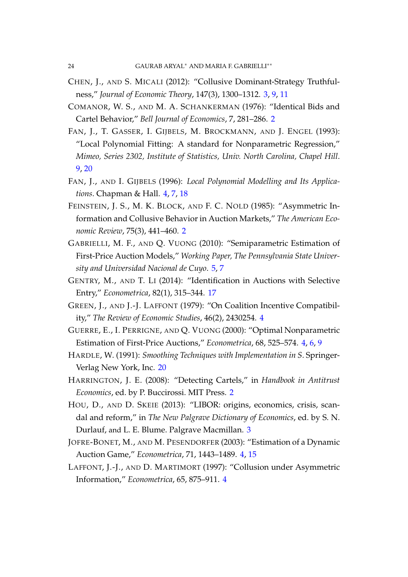- CHEN, J., AND S. MICALI (2012): "Collusive Dominant-Strategy Truthfulness," *Journal of Economic Theory*, 147(3), 1300–1312. 3, 9, 11
- COMANOR, W. S., AND M. A. SCHANKERMAN (1976): "Identical Bids and Cartel Behavior," *Bell Journal of Economics*, 7, 281–286. 2
- FAN, J., T. GASSER, I. GIJBELS, M. BROCKMANN, AND J. ENGEL (1993): "Local Polynomial Fitting: A standard for Nonparametric Regression," *Mimeo, Series 2302, Institute of Statistics, Univ. North Carolina, Chapel Hill*. 9, 20
- FAN, J., AND I. GIJBELS (1996): *Local Polynomial Modelling and Its Applications*. Chapman & Hall. 4, 7, 18
- FEINSTEIN, J. S., M. K. BLOCK, AND F. C. NOLD (1985): "Asymmetric Information and Collusive Behavior in Auction Markets," *The American Economic Review*, 75(3), 441–460. 2
- GABRIELLI, M. F., AND Q. VUONG (2010): "Semiparametric Estimation of First-Price Auction Models," *Working Paper, The Pennsylvania State University and Universidad Nacional de Cuyo*. 5, 7
- GENTRY, M., AND T. LI (2014): "Identification in Auctions with Selective Entry," *Econometrica*, 82(1), 315–344. 17
- GREEN, J., AND J.-J. LAFFONT (1979): "On Coalition Incentive Compatibility," *The Review of Economic Studies*, 46(2), 2430254. 4
- GUERRE, E., I. PERRIGNE, AND Q. VUONG (2000): "Optimal Nonparametric Estimation of First-Price Auctions," *Econometrica*, 68, 525–574. 4, 6, 9
- HARDLE, W. (1991): *Smoothing Techniques with Implementation in S*. Springer-Verlag New York, Inc. 20
- HARRINGTON, J. E. (2008): "Detecting Cartels," in *Handbook in Antitrust Economics*, ed. by P. Buccirossi. MIT Press. 2
- HOU, D., AND D. SKEIE (2013): "LIBOR: origins, economics, crisis, scandal and reform," in *The New Palgrave Dictionary of Economics*, ed. by S. N. Durlauf, and L. E. Blume. Palgrave Macmillan. 3
- JOFRE-BONET, M., AND M. PESENDORFER (2003): "Estimation of a Dynamic Auction Game," *Econometrica*, 71, 1443–1489. 4, 15
- LAFFONT, J.-J., AND D. MARTIMORT (1997): "Collusion under Asymmetric Information," *Econometrica*, 65, 875–911. 4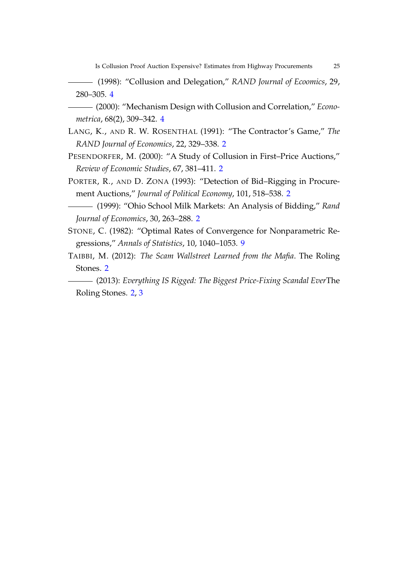Is Collusion Proof Auction Expensive? Estimates from Highway Procurements 25

(1998): "Collusion and Delegation," *RAND Journal of Ecoomics*, 29, 280–305. 4

- (2000): "Mechanism Design with Collusion and Correlation," *Econometrica*, 68(2), 309–342. 4
- LANG, K., AND R. W. ROSENTHAL (1991): "The Contractor's Game," *The RAND Journal of Economics*, 22, 329–338. 2
- PESENDORFER, M. (2000): "A Study of Collusion in First–Price Auctions," *Review of Economic Studies*, 67, 381–411. 2
- PORTER, R., AND D. ZONA (1993): "Detection of Bid–Rigging in Procurement Auctions," *Journal of Political Economy*, 101, 518–538. 2
- (1999): "Ohio School Milk Markets: An Analysis of Bidding," *Rand Journal of Economics*, 30, 263–288. 2
- STONE, C. (1982): "Optimal Rates of Convergence for Nonparametric Regressions," *Annals of Statistics*, 10, 1040–1053. 9
- TAIBBI, M. (2012): *The Scam Wallstreet Learned from the Mafia*. The Roling Stones. 2
- (2013): *Everything IS Rigged: The Biggest Price-Fixing Scandal Ever*The Roling Stones. 2, 3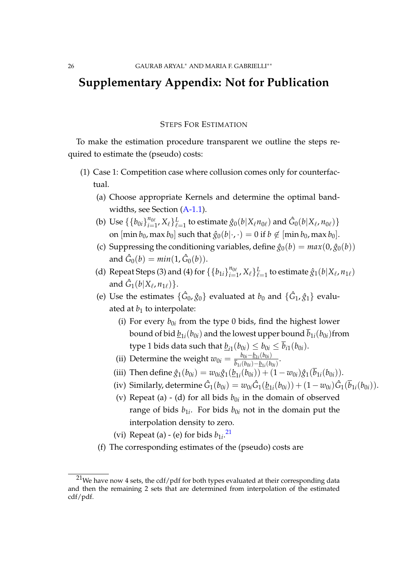## **Supplementary Appendix: Not for Publication**

#### STEPS FOR ESTIMATION

To make the estimation procedure transparent we outline the steps required to estimate the (pseudo) costs:

- (1) Case 1: Competition case where collusion comes only for counterfactual.
	- (a) Choose appropriate Kernels and determine the optimal bandwidths, see Section (A-1.1).
	- (b) Use  $\{b_{0i}\}_{i=1}^{n_{0\ell}}$  $\{f_{i=1}^{n_{0\ell}},X_{\ell}\}_{\ell=1}^L$  to estimate  $\hat{g}_0(b|X_{\ell}n_{0\ell})$  and  $\hat{G}_0(b|X_{\ell},n_{0\ell})\}$ on  $[\min b_0, \max b_0]$  such that  $\hat{g}_0(b|\cdot,\cdot) = 0$  if  $b \notin [\min b_0, \max b_0]$ .
	- (c) Suppressing the conditioning variables, define  $\hat{g}_0(b) = max(0, \hat{g}_0(b))$ and  $\hat{G}_0(b) = min(1, \hat{G}_0(b)).$
	- (d) Repeat Steps (3) and (4) for  $\{\{b_{1i}\}_{i=1}^{n_{0i}}\}$  $_{i=1}^{n_{0\ell}},X_{\ell}\}_{\ell=1}^L$  to estimate  $\hat{g}_{1}(b|X_{\ell},n_{1\ell})$ and  $\hat{G}_1(b|X_{\ell}, n_{1\ell})\}$ .
	- (e) Use the estimates  $\{\hat{G}_0, \hat{g}_0\}$  evaluated at  $b_0$  and  $\{\hat{G}_1, \hat{g}_1\}$  evaluated at  $b_1$  to interpolate:
		- (i) For every  $b_{0i}$  from the type 0 bids, find the highest lower bound of bid  $\underline{b}_{1i}(b_{0i})$  and the lowest upper bound  $b_{1i}(b_{0i})$ from type 1 bids data such that  $\underline{b}_{i1}(b_{0i}) \leq b_{0i} \leq b_{i1}(b_{0i}).$
		- (ii) Determine the weight  $w_{0i} = \frac{b_{0i} b_{1i}(b_{0i})}{\bar{b}_{1i}(b_{0i}) b_{1i}(b_{0i})}$  $\frac{v_{0i} - \underline{v_{1i}}(v_{0i})}{\overline{b}_{1i}(b_{0i}) - \underline{b}_{1i}(b_{0i})}$ .
		- (iii) Then define  $\hat{g}_1(b_{0i}) = w_{0i}\hat{g}_1(\underline{b}_{1i}(b_{0i})) + (1 w_{0i})\hat{g}_1(b_{1i}(b_{0i})).$
		- (iv) Similarly, determine  $\hat{G}_1(b_{0i}) = w_{0i}\hat{G}_1(\underline{b}_{1i}(b_{0i})) + (1-w_{0i})\hat{G}_1(\overline{b}_{1i}(b_{0i}))$ .
		- (v) Repeat (a)  $\text{-}$  (d) for all bids  $b_{0i}$  in the domain of observed range of bids  $b_{1i}$ . For bids  $b_{0i}$  not in the domain put the interpolation density to zero.
		- (vi) Repeat (a)  $-$  (e) for bids  $b_{1i}$ <sup>21</sup>
	- (f) The corresponding estimates of the (pseudo) costs are

 $21$ We have now 4 sets, the cdf/pdf for both types evaluated at their corresponding data and then the remaining 2 sets that are determined from interpolation of the estimated cdf/pdf.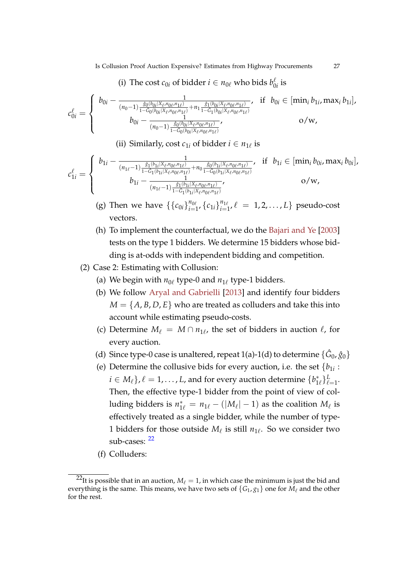#### (i) The cost  $c_{0i}$  of bidder  $i \in n_{0\ell}$  who bids  $b_0^{\ell}$  $\int_0^{\ell}$  is

$$
c_{0i}^{\ell} = \begin{cases} b_{0i} - \frac{1}{(n_0 - 1)\frac{\hat{s}_0(b_{0i}|X_{\ell}, n_{0\ell}, n_{1\ell})}{1 - \hat{G}_0(b_{0i}|X_{\ell}, n_{0\ell}, n_{1\ell})} + n_1 \frac{\hat{s}_1(b_{0i}|X_{\ell}, n_{0\ell}, n_{1\ell})}{1 - \hat{G}_1(b_{0i}|X_{\ell}, n_{0\ell}, n_{1\ell})}}, & \text{if } b_{0i} \in [\min_i b_{1i}, \max_i b_{1i}], \\ b_{0i} - \frac{1}{(n_0 - 1)\frac{\hat{s}_0(b_{0i}|X_{\ell}, n_{0\ell}, n_{1\ell})}{1 - \hat{G}_0(b_{0i}|X_{\ell}, n_{0\ell}, n_{1\ell})}}, & \text{o/w}, \end{cases}
$$

(ii) Similarly, cost  $c_{1i}$  of bidder  $i \in n_{1\ell}$  is

$$
c_{1i}^{\ell} = \begin{cases} b_{1i} - \frac{1}{(n_{1\ell}-1)\frac{\hat{s}_1(b_{1i}|X_{\ell},n_{0\ell},n_{1\ell})}{1-\hat{G}_1(b_{1i}|X_{\ell},n_{0\ell},n_{1\ell})} + n_0\frac{\hat{s}_0(b_{1i}|X_{\ell},n_{0\ell},n_{1\ell})}{1-\hat{G}_0(b_{1i}|X_{\ell},n_{0\ell},n_{1\ell})}}, & \text{if } b_{1i} \in [\min_i b_{0i}, \max_i b_{0i}],\\ b_{1i} - \frac{1}{(n_{1\ell}-1)\frac{\hat{s}_1(b_{1i}|X_{\ell},n_{0\ell},n_{1\ell})}{1-\hat{G}_1(b_{1i}|X_{\ell},n_{0\ell},n_{1\ell})}}, & \text{o/w}, \end{cases}
$$

(g) Then we have  $\{\{c_{0i}\}_{i=1}^{n_{0\ell}}\}$  $\sum_{i=1}^{n_{0\ell}}$ ,  $\{c_{1i}\}_{i=1}^{n_{1\ell}}$  $\binom{n_{1\ell}}{i=1}$ ,  $\ell = 1, 2, ..., L$  pseudo-cost vectors.

- (h) To implement the counterfactual, we do the Bajari and Ye [2003] tests on the type 1 bidders. We determine 15 bidders whose bidding is at-odds with independent bidding and competition.
- (2) Case 2: Estimating with Collusion:
	- (a) We begin with  $n_{0\ell}$  type-0 and  $n_{1\ell}$  type-1 bidders.
	- (b) We follow Aryal and Gabrielli [2013] and identify four bidders  $M = \{A, B, D, E\}$  who are treated as colluders and take this into account while estimating pseudo-costs.
	- (c) Determine  $M_{\ell} = M \cap n_{1\ell}$ , the set of bidders in auction  $\ell$ , for every auction.
	- (d) Since type-0 case is unaltered, repeat 1(a)-1(d) to determine  $\{\hat{G}_0, \hat{g}_0\}$
	- (e) Determine the collusive bids for every auction, i.e. the set  $\{b_{1i}:$  $i \in M_\ell\}$ ,  $\ell = 1, \ldots, L$ , and for every auction determine  $\{b_{1\ell}^*\}_{\ell=1}^L$ . Then, the effective type-1 bidder from the point of view of colluding bidders is  $n_{1\ell}^* = n_{1\ell} - (|M_\ell| - 1)$  as the coalition  $M_\ell$  is effectively treated as a single bidder, while the number of type-1 bidders for those outside *M*ℓ is still *n*1<sup>ℓ</sup> . So we consider two sub-cases:  $^{22}$
	- (f) Colluders:

<sup>&</sup>lt;sup>22</sup>It is possible that in an auction,  $M_{\ell} = 1$ , in which case the minimum is just the bid and everything is the same. This means, we have two sets of  ${G_1, g_1}$  one for  $M_\ell$  and the other for the rest.